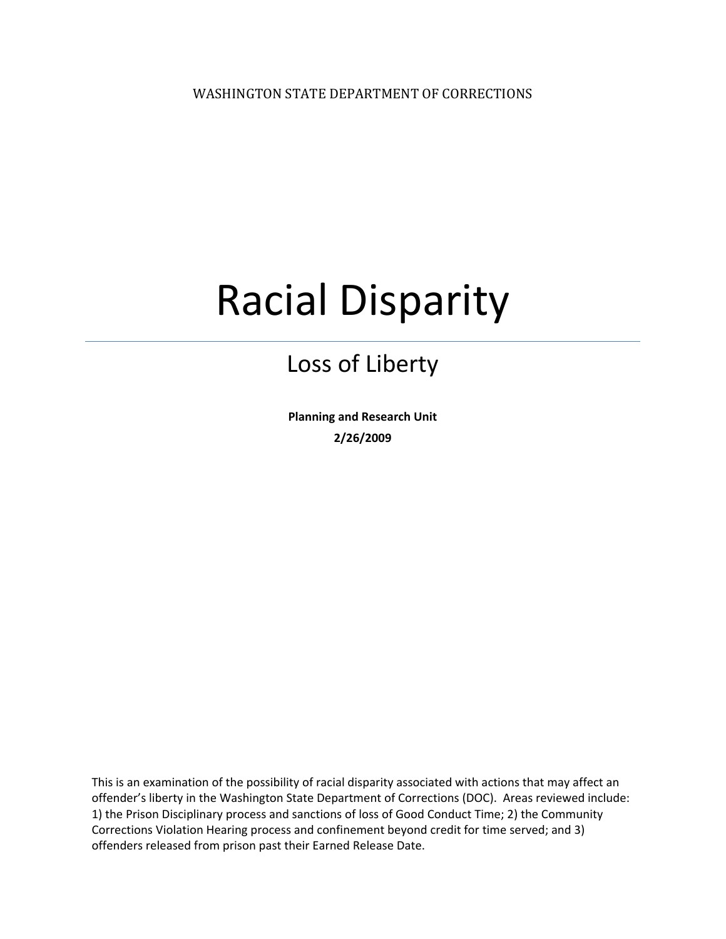WASHINGTON STATE DEPARTMENT OF CORRECTIONS

# Racial Disparity

### Loss of Liberty

**Planning and Research Unit 2/26/2009**

This is an examination of the possibility of racial disparity associated with actions that may affect an offender's liberty in the Washington State Department of Corrections (DOC). Areas reviewed include: 1) the Prison Disciplinary process and sanctions of loss of Good Conduct Time; 2) the Community Corrections Violation Hearing process and confinement beyond credit for time served; and 3) offenders released from prison past their Earned Release Date.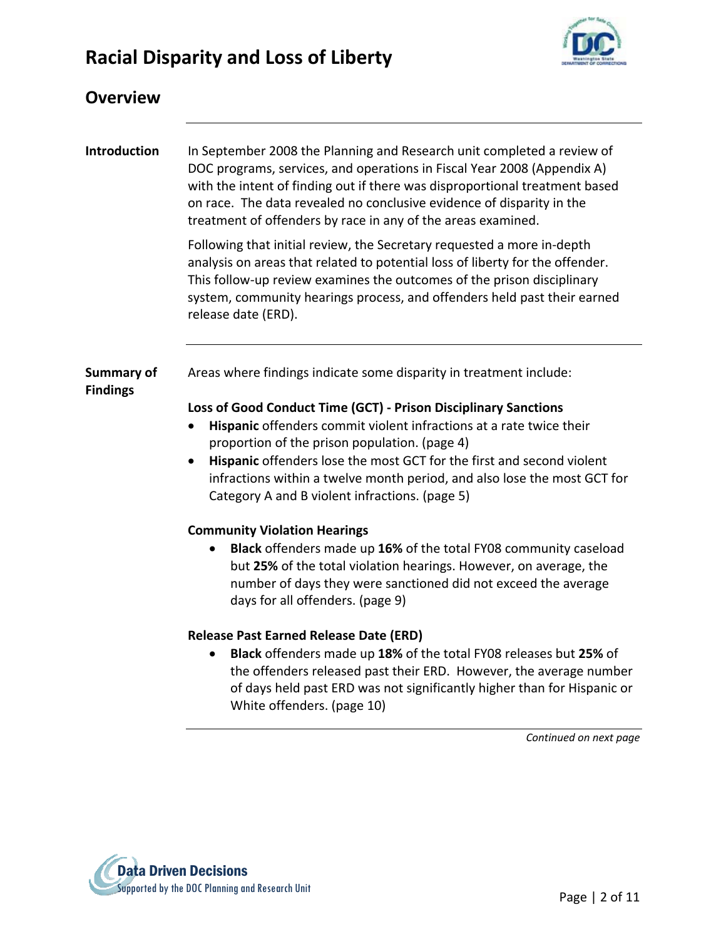

| <b>Overview</b>                      |                                                                                                                                                                                                                                                                                                                                                                                                                                                                                |
|--------------------------------------|--------------------------------------------------------------------------------------------------------------------------------------------------------------------------------------------------------------------------------------------------------------------------------------------------------------------------------------------------------------------------------------------------------------------------------------------------------------------------------|
| <b>Introduction</b>                  | In September 2008 the Planning and Research unit completed a review of<br>DOC programs, services, and operations in Fiscal Year 2008 (Appendix A)<br>with the intent of finding out if there was disproportional treatment based<br>on race. The data revealed no conclusive evidence of disparity in the<br>treatment of offenders by race in any of the areas examined.                                                                                                      |
|                                      | Following that initial review, the Secretary requested a more in-depth<br>analysis on areas that related to potential loss of liberty for the offender.<br>This follow-up review examines the outcomes of the prison disciplinary<br>system, community hearings process, and offenders held past their earned<br>release date (ERD).                                                                                                                                           |
| <b>Summary of</b><br><b>Findings</b> | Areas where findings indicate some disparity in treatment include:<br>Loss of Good Conduct Time (GCT) - Prison Disciplinary Sanctions<br>Hispanic offenders commit violent infractions at a rate twice their<br>٠<br>proportion of the prison population. (page 4)<br>Hispanic offenders lose the most GCT for the first and second violent<br>٠<br>infractions within a twelve month period, and also lose the most GCT for<br>Category A and B violent infractions. (page 5) |
|                                      | <b>Community Violation Hearings</b><br>Black offenders made up 16% of the total FY08 community caseload<br>but 25% of the total violation hearings. However, on average, the<br>number of days they were sanctioned did not exceed the average<br>days for all offenders. (page 9)                                                                                                                                                                                             |
|                                      | <b>Release Past Earned Release Date (ERD)</b><br>Black offenders made up 18% of the total FY08 releases but 25% of<br>the offenders released past their ERD. However, the average number<br>of days held past ERD was not significantly higher than for Hispanic or<br>White offenders. (page 10)<br>Continued on next page                                                                                                                                                    |

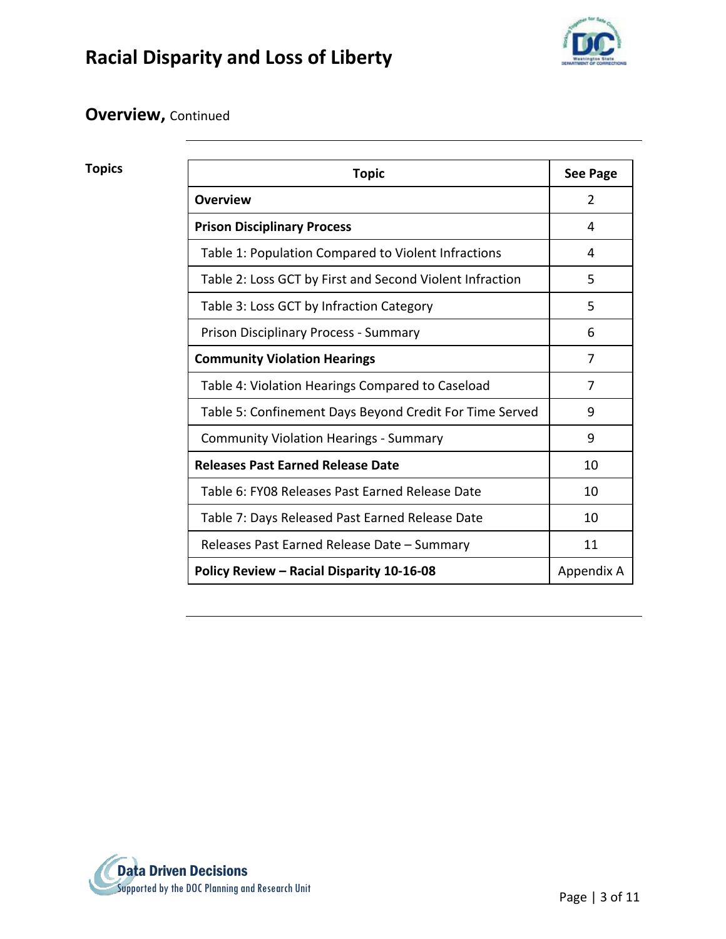

#### **Overview,** Continued

| Appendix A |
|------------|
|            |

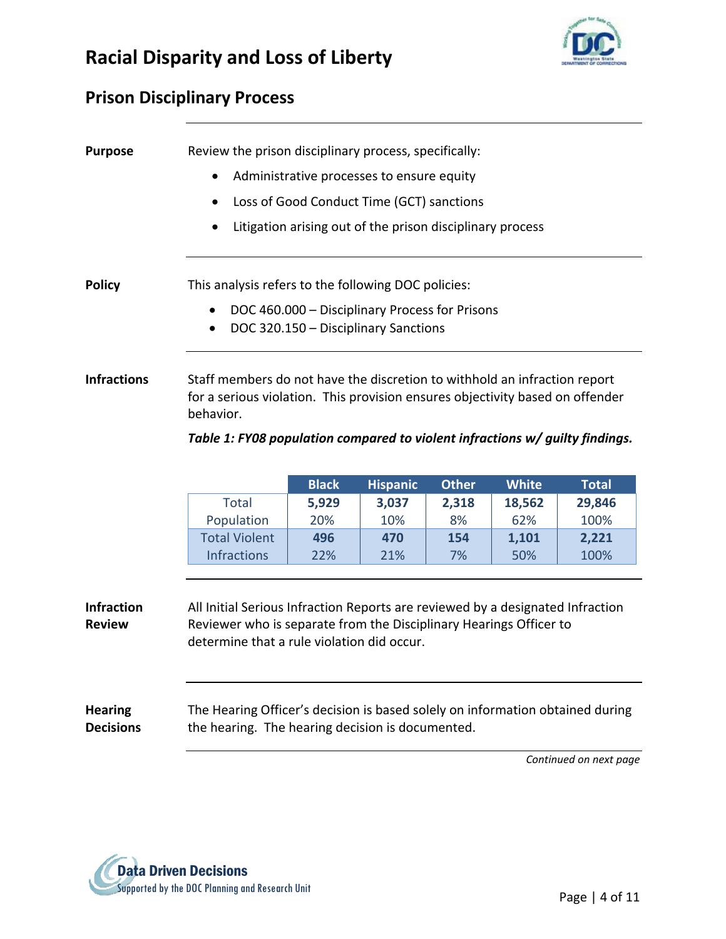

#### **Prison Disciplinary Process**

| <b>Purpose</b>                                   | Review the prison disciplinary process, specifically:                                                                                                      |                                                           |                 |              |              |              |  |  |
|--------------------------------------------------|------------------------------------------------------------------------------------------------------------------------------------------------------------|-----------------------------------------------------------|-----------------|--------------|--------------|--------------|--|--|
|                                                  | Administrative processes to ensure equity                                                                                                                  |                                                           |                 |              |              |              |  |  |
|                                                  | Loss of Good Conduct Time (GCT) sanctions                                                                                                                  |                                                           |                 |              |              |              |  |  |
|                                                  |                                                                                                                                                            | Litigation arising out of the prison disciplinary process |                 |              |              |              |  |  |
|                                                  |                                                                                                                                                            |                                                           |                 |              |              |              |  |  |
|                                                  |                                                                                                                                                            |                                                           |                 |              |              |              |  |  |
| <b>Policy</b>                                    | This analysis refers to the following DOC policies:                                                                                                        |                                                           |                 |              |              |              |  |  |
|                                                  |                                                                                                                                                            | DOC 460.000 - Disciplinary Process for Prisons            |                 |              |              |              |  |  |
|                                                  | $\bullet$                                                                                                                                                  | DOC 320.150 - Disciplinary Sanctions                      |                 |              |              |              |  |  |
|                                                  |                                                                                                                                                            |                                                           |                 |              |              |              |  |  |
| <b>Infractions</b>                               |                                                                                                                                                            |                                                           |                 |              |              |              |  |  |
|                                                  | Staff members do not have the discretion to withhold an infraction report<br>for a serious violation. This provision ensures objectivity based on offender |                                                           |                 |              |              |              |  |  |
|                                                  | behavior.                                                                                                                                                  |                                                           |                 |              |              |              |  |  |
|                                                  |                                                                                                                                                            |                                                           |                 |              |              |              |  |  |
|                                                  | Table 1: FY08 population compared to violent infractions w/ guilty findings.                                                                               |                                                           |                 |              |              |              |  |  |
|                                                  |                                                                                                                                                            |                                                           |                 |              |              |              |  |  |
|                                                  |                                                                                                                                                            | <b>Black</b>                                              | <b>Hispanic</b> | <b>Other</b> | <b>White</b> | <b>Total</b> |  |  |
|                                                  | <b>Total</b>                                                                                                                                               | 5,929                                                     | 3,037           | 2,318        | 18,562       | 29,846       |  |  |
|                                                  | Population                                                                                                                                                 | 20%                                                       | 10%             | 8%           | 62%          | 100%         |  |  |
|                                                  | <b>Total Violent</b>                                                                                                                                       | 496                                                       | 470             | 154          | 1,101        | 2,221        |  |  |
|                                                  | <b>Infractions</b>                                                                                                                                         | 22%                                                       | 21%             | 7%           | 50%          | 100%         |  |  |
|                                                  |                                                                                                                                                            |                                                           |                 |              |              |              |  |  |
| <b>Infraction</b>                                | All Initial Serious Infraction Reports are reviewed by a designated Infraction                                                                             |                                                           |                 |              |              |              |  |  |
| <b>Review</b>                                    | Reviewer who is separate from the Disciplinary Hearings Officer to                                                                                         |                                                           |                 |              |              |              |  |  |
| determine that a rule violation did occur.       |                                                                                                                                                            |                                                           |                 |              |              |              |  |  |
|                                                  |                                                                                                                                                            |                                                           |                 |              |              |              |  |  |
|                                                  |                                                                                                                                                            |                                                           |                 |              |              |              |  |  |
|                                                  |                                                                                                                                                            |                                                           |                 |              |              |              |  |  |
| <b>Hearing</b><br><b>Decisions</b>               | The Hearing Officer's decision is based solely on information obtained during                                                                              |                                                           |                 |              |              |              |  |  |
| the hearing. The hearing decision is documented. |                                                                                                                                                            |                                                           |                 |              |              |              |  |  |

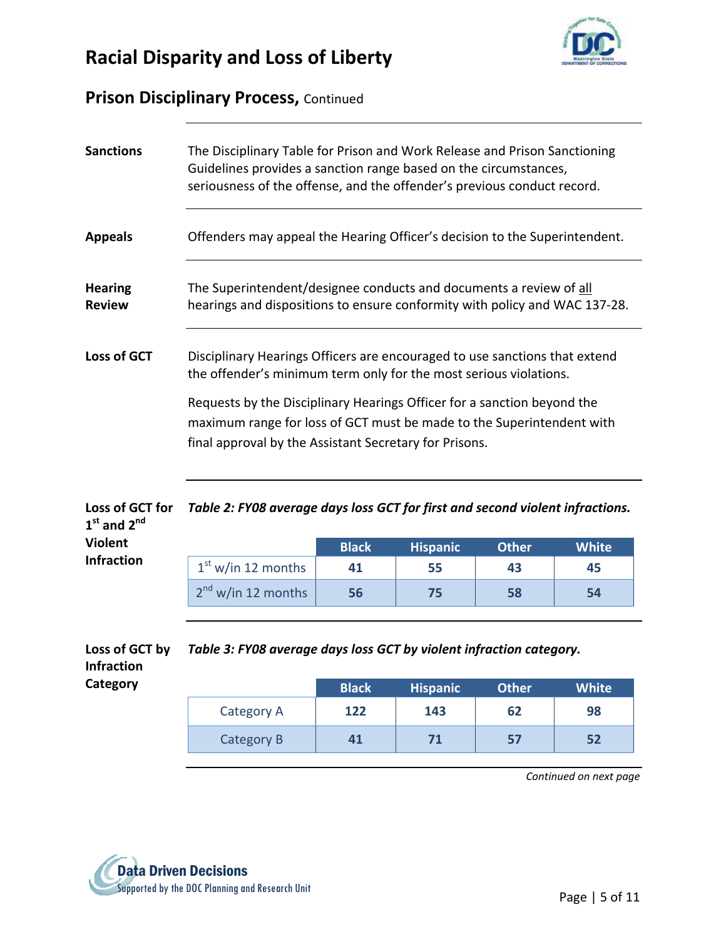



#### **Prison Disciplinary Process,** Continued

| <b>Sanctions</b>                                | The Disciplinary Table for Prison and Work Release and Prison Sanctioning<br>Guidelines provides a sanction range based on the circumstances,<br>seriousness of the offense, and the offender's previous conduct record.                                                                                                                                      |              |                 |              |              |  |  |  |
|-------------------------------------------------|---------------------------------------------------------------------------------------------------------------------------------------------------------------------------------------------------------------------------------------------------------------------------------------------------------------------------------------------------------------|--------------|-----------------|--------------|--------------|--|--|--|
| <b>Appeals</b>                                  | Offenders may appeal the Hearing Officer's decision to the Superintendent.                                                                                                                                                                                                                                                                                    |              |                 |              |              |  |  |  |
| <b>Hearing</b><br><b>Review</b>                 | The Superintendent/designee conducts and documents a review of all<br>hearings and dispositions to ensure conformity with policy and WAC 137-28.                                                                                                                                                                                                              |              |                 |              |              |  |  |  |
| <b>Loss of GCT</b>                              | Disciplinary Hearings Officers are encouraged to use sanctions that extend<br>the offender's minimum term only for the most serious violations.<br>Requests by the Disciplinary Hearings Officer for a sanction beyond the<br>maximum range for loss of GCT must be made to the Superintendent with<br>final approval by the Assistant Secretary for Prisons. |              |                 |              |              |  |  |  |
| Loss of GCT for<br>$1st$ and $2nd$              | Table 2: FY08 average days loss GCT for first and second violent infractions.                                                                                                                                                                                                                                                                                 |              |                 |              |              |  |  |  |
| <b>Violent</b>                                  |                                                                                                                                                                                                                                                                                                                                                               | <b>Black</b> | <b>Hispanic</b> | <b>Other</b> | <b>White</b> |  |  |  |
| <b>Infraction</b>                               | $1st$ w/in 12 months                                                                                                                                                                                                                                                                                                                                          | 41           | 55              | 43           | 45           |  |  |  |
|                                                 | 2 <sup>nd</sup> w/in 12 months                                                                                                                                                                                                                                                                                                                                | 56           | 75              | 58           | 54           |  |  |  |
| Loss of GCT by<br><b>Infraction</b><br>Category | Table 3: FY08 average days loss GCT by violent infraction category.                                                                                                                                                                                                                                                                                           |              |                 |              |              |  |  |  |
|                                                 |                                                                                                                                                                                                                                                                                                                                                               | <b>Black</b> | <b>Hispanic</b> | <b>Other</b> | <b>White</b> |  |  |  |
|                                                 | Category A                                                                                                                                                                                                                                                                                                                                                    | 122          | 143             | 62           | 98           |  |  |  |
|                                                 | Category B                                                                                                                                                                                                                                                                                                                                                    | 41           | 71              | 57           | 52           |  |  |  |

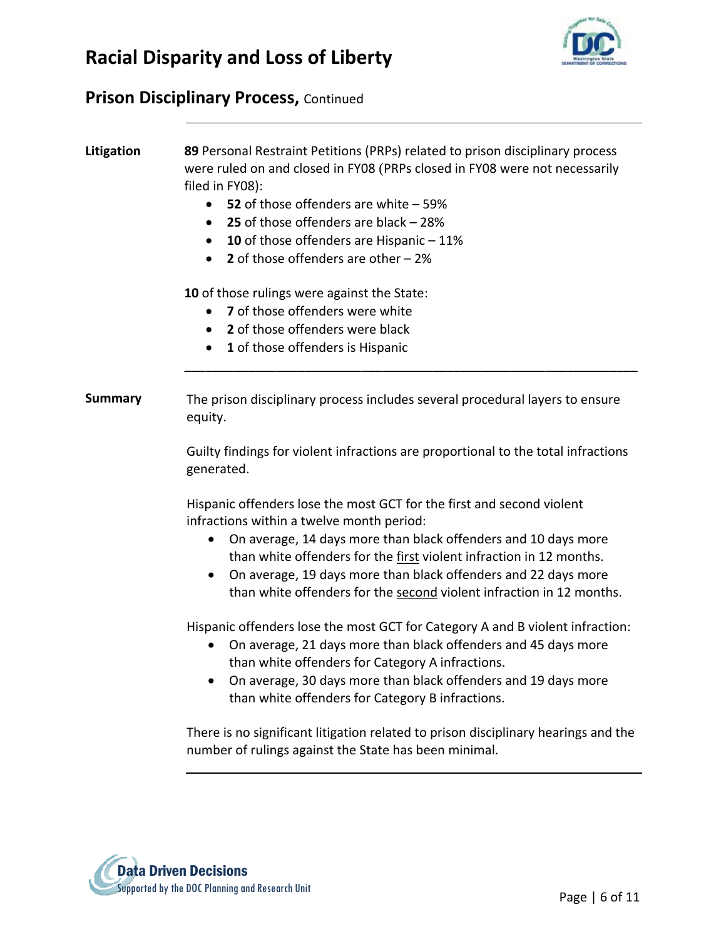

#### **Prison Disciplinary Process,** Continued

**Litigation 89** Personal Restraint Petitions (PRPs) related to prison disciplinary process were ruled on and closed in FY08 (PRPs closed in FY08 were not necessarily filed in FY08):

- **52** of those offenders are white 59%
- **25** of those offenders are black 28%
- **10** of those offenders are Hispanic 11%
- **2** of those offenders are other 2%

**10** of those rulings were against the State:

- **7** of those offenders were white
- **2** of those offenders were black
- **1** of those offenders is Hispanic

**Summary** The prison disciplinary process includes several procedural layers to ensure equity.

> Guilty findings for violent infractions are proportional to the total infractions generated.

\_\_\_\_\_\_\_\_\_\_\_\_\_\_\_\_\_\_\_\_\_\_\_\_\_\_\_\_\_\_\_\_\_\_\_\_\_\_\_\_\_\_\_\_\_\_\_\_\_\_\_\_\_\_\_\_\_\_\_\_\_\_\_\_

Hispanic offenders lose the most GCT for the first and second violent infractions within a twelve month period:

- On average, 14 days more than black offenders and 10 days more than white offenders for the first violent infraction in 12 months.
- On average, 19 days more than black offenders and 22 days more than white offenders for the second violent infraction in 12 months.

Hispanic offenders lose the most GCT for Category A and B violent infraction:

- On average, 21 days more than black offenders and 45 days more than white offenders for Category A infractions.
- On average, 30 days more than black offenders and 19 days more than white offenders for Category B infractions.

There is no significant litigation related to prison disciplinary hearings and the number of rulings against the State has been minimal.

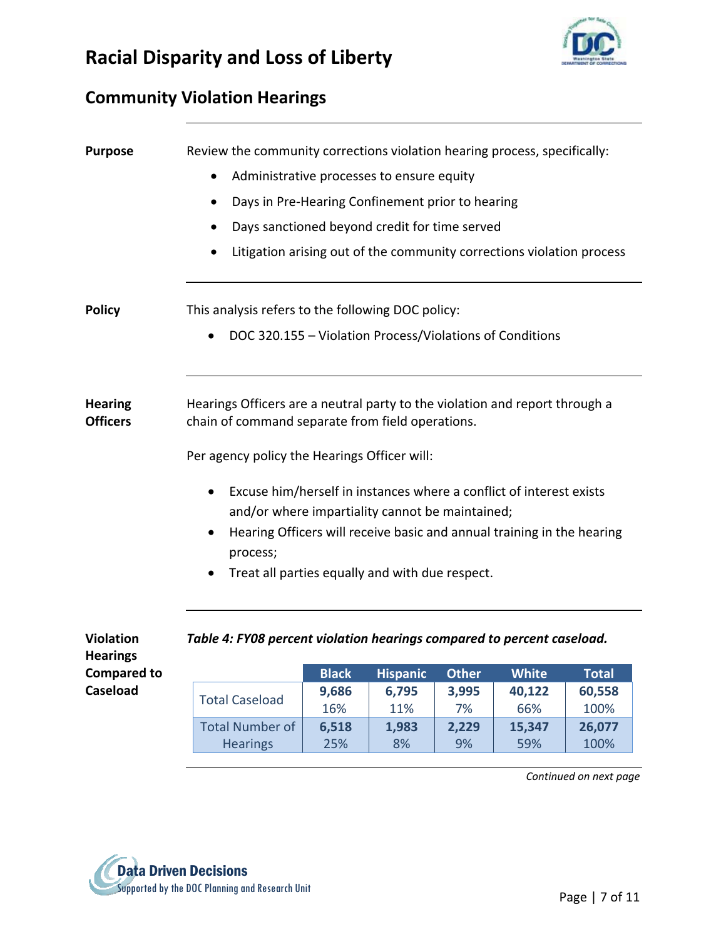

#### **Community Violation Hearings**

| <b>Purpose</b>                                            | Review the community corrections violation hearing process, specifically:<br>Administrative processes to ensure equity<br>$\bullet$<br>Days in Pre-Hearing Confinement prior to hearing<br>Days sanctioned beyond credit for time served<br>Litigation arising out of the community corrections violation process |  |  |  |  |  |  |
|-----------------------------------------------------------|-------------------------------------------------------------------------------------------------------------------------------------------------------------------------------------------------------------------------------------------------------------------------------------------------------------------|--|--|--|--|--|--|
| <b>Policy</b>                                             | This analysis refers to the following DOC policy:<br>DOC 320.155 - Violation Process/Violations of Conditions                                                                                                                                                                                                     |  |  |  |  |  |  |
| <b>Hearing</b>                                            | Hearings Officers are a neutral party to the violation and report through a                                                                                                                                                                                                                                       |  |  |  |  |  |  |
| <b>Officers</b>                                           | chain of command separate from field operations.<br>Per agency policy the Hearings Officer will:                                                                                                                                                                                                                  |  |  |  |  |  |  |
|                                                           | Excuse him/herself in instances where a conflict of interest exists<br>and/or where impartiality cannot be maintained;<br>Hearing Officers will receive basic and annual training in the hearing<br>process;                                                                                                      |  |  |  |  |  |  |
|                                                           | Treat all parties equally and with due respect.                                                                                                                                                                                                                                                                   |  |  |  |  |  |  |
| <b>Violation</b><br><b>Hearings</b><br><b>Compared to</b> | Table 4: FY08 percent violation hearings compared to percent caseload.<br><b>Black</b><br><b>Hispanic</b><br><b>Other</b><br><b>White</b><br><b>Total</b>                                                                                                                                                         |  |  |  |  |  |  |

|                        | <b>Black</b> | <b>Hispanic</b> | <b>Other</b> | White  | <b>Total</b> |
|------------------------|--------------|-----------------|--------------|--------|--------------|
|                        | 9,686        | 6,795           | 3,995        | 40,122 | 60,558       |
| <b>Total Caseload</b>  | 16%          | 11%             | 7%           | 66%    | 100%         |
| <b>Total Number of</b> | 6,518        | 1,983           | 2,229        | 15,347 | 26,077       |
| <b>Hearings</b>        | 25%          | 8%              | 9%           | 59%    | 100%         |

*Continued on next page*



**Caseload**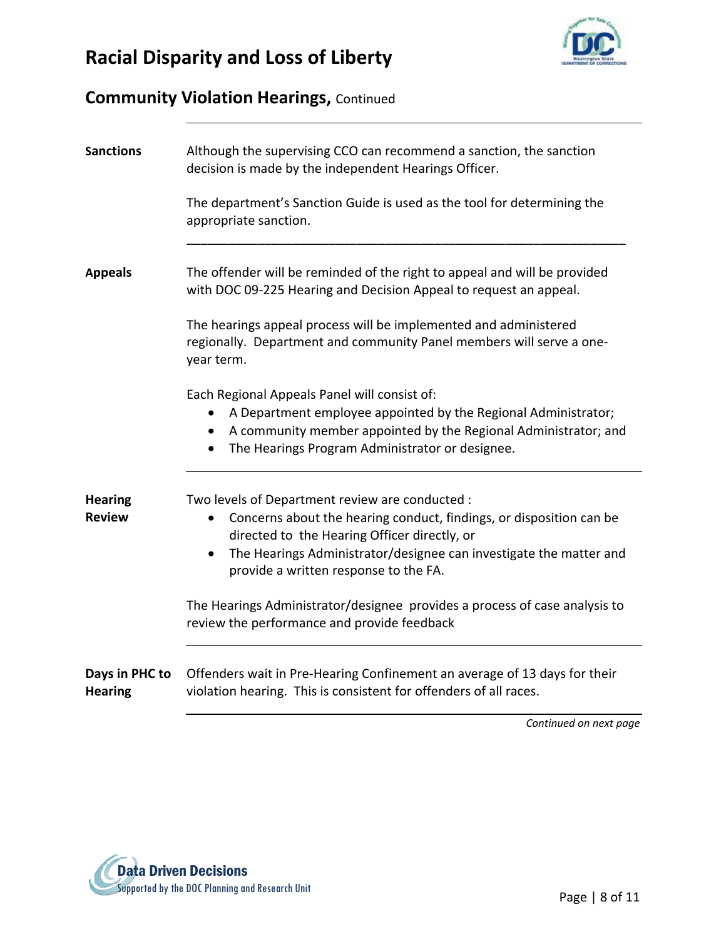

#### **Community Violation Hearings,** Continued

| <b>Sanctions</b>                 | Although the supervising CCO can recommend a sanction, the sanction<br>decision is made by the independent Hearings Officer.                                                                                                                                                                                                                                                                                                    |  |  |  |  |  |
|----------------------------------|---------------------------------------------------------------------------------------------------------------------------------------------------------------------------------------------------------------------------------------------------------------------------------------------------------------------------------------------------------------------------------------------------------------------------------|--|--|--|--|--|
|                                  | The department's Sanction Guide is used as the tool for determining the<br>appropriate sanction.                                                                                                                                                                                                                                                                                                                                |  |  |  |  |  |
| <b>Appeals</b>                   | The offender will be reminded of the right to appeal and will be provided<br>with DOC 09-225 Hearing and Decision Appeal to request an appeal.                                                                                                                                                                                                                                                                                  |  |  |  |  |  |
|                                  | The hearings appeal process will be implemented and administered<br>regionally. Department and community Panel members will serve a one-<br>year term.                                                                                                                                                                                                                                                                          |  |  |  |  |  |
|                                  | Each Regional Appeals Panel will consist of:<br>A Department employee appointed by the Regional Administrator;<br>A community member appointed by the Regional Administrator; and<br>The Hearings Program Administrator or designee.<br>$\bullet$                                                                                                                                                                               |  |  |  |  |  |
| <b>Hearing</b><br><b>Review</b>  | Two levels of Department review are conducted :<br>Concerns about the hearing conduct, findings, or disposition can be<br>directed to the Hearing Officer directly, or<br>The Hearings Administrator/designee can investigate the matter and<br>$\bullet$<br>provide a written response to the FA.<br>The Hearings Administrator/designee provides a process of case analysis to<br>review the performance and provide feedback |  |  |  |  |  |
| Days in PHC to<br><b>Hearing</b> | Offenders wait in Pre-Hearing Confinement an average of 13 days for their<br>violation hearing. This is consistent for offenders of all races.                                                                                                                                                                                                                                                                                  |  |  |  |  |  |

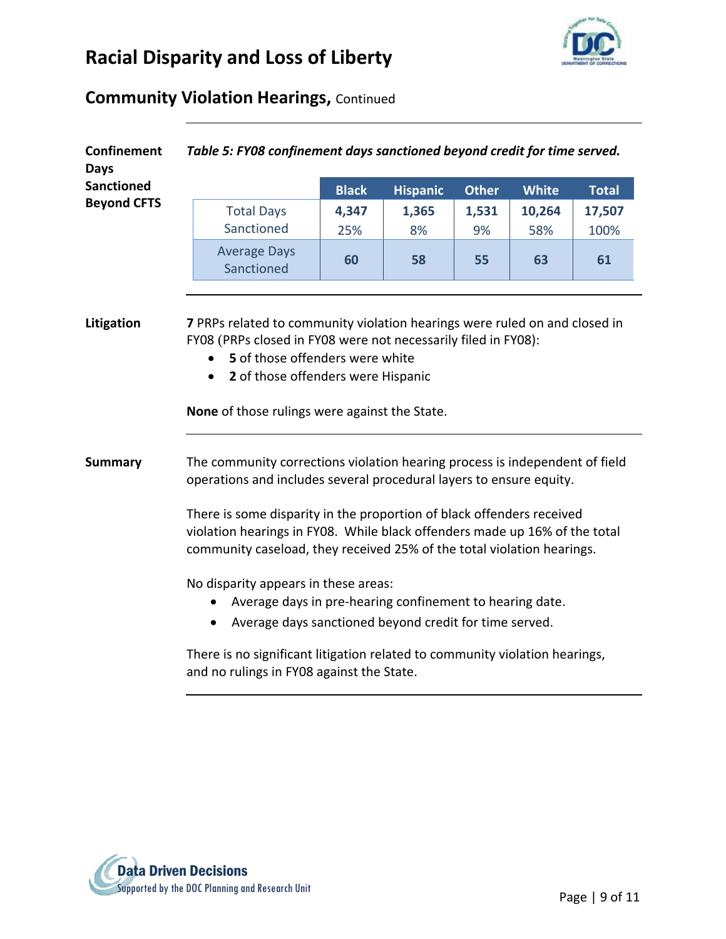

#### **Community Violation Hearings,** Continued

| <b>Confinement</b><br><b>Days</b> |                                                                                                                                                                                                                               | Table 5: FY08 confinement days sanctioned beyond credit for time served.                                                                                                                              |              |                 |              |               |                |  |  |
|-----------------------------------|-------------------------------------------------------------------------------------------------------------------------------------------------------------------------------------------------------------------------------|-------------------------------------------------------------------------------------------------------------------------------------------------------------------------------------------------------|--------------|-----------------|--------------|---------------|----------------|--|--|
| <b>Sanctioned</b>                 |                                                                                                                                                                                                                               |                                                                                                                                                                                                       | <b>Black</b> | <b>Hispanic</b> | <b>Other</b> | <b>White</b>  | <b>Total</b>   |  |  |
| <b>Beyond CFTS</b>                |                                                                                                                                                                                                                               | <b>Total Days</b><br>Sanctioned                                                                                                                                                                       | 4,347<br>25% | 1,365<br>8%     | 1,531<br>9%  | 10,264<br>58% | 17,507<br>100% |  |  |
|                                   |                                                                                                                                                                                                                               | <b>Average Days</b><br>Sanctioned                                                                                                                                                                     | 60           | 58              | 55           | 63            | 61             |  |  |
|                                   |                                                                                                                                                                                                                               | FY08 (PRPs closed in FY08 were not necessarily filed in FY08):<br>5 of those offenders were white<br>2 of those offenders were Hispanic<br>$\bullet$<br>None of those rulings were against the State. |              |                 |              |               |                |  |  |
| <b>Summary</b>                    | The community corrections violation hearing process is independent of field<br>operations and includes several procedural layers to ensure equity.                                                                            |                                                                                                                                                                                                       |              |                 |              |               |                |  |  |
|                                   | There is some disparity in the proportion of black offenders received<br>violation hearings in FY08. While black offenders made up 16% of the total<br>community caseload, they received 25% of the total violation hearings. |                                                                                                                                                                                                       |              |                 |              |               |                |  |  |
|                                   |                                                                                                                                                                                                                               | No disparity appears in these areas:<br>Average days in pre-hearing confinement to hearing date.<br>Average days sanctioned beyond credit for time served.                                            |              |                 |              |               |                |  |  |
|                                   | There is no significant litigation related to community violation hearings,<br>and no rulings in FY08 against the State.                                                                                                      |                                                                                                                                                                                                       |              |                 |              |               |                |  |  |

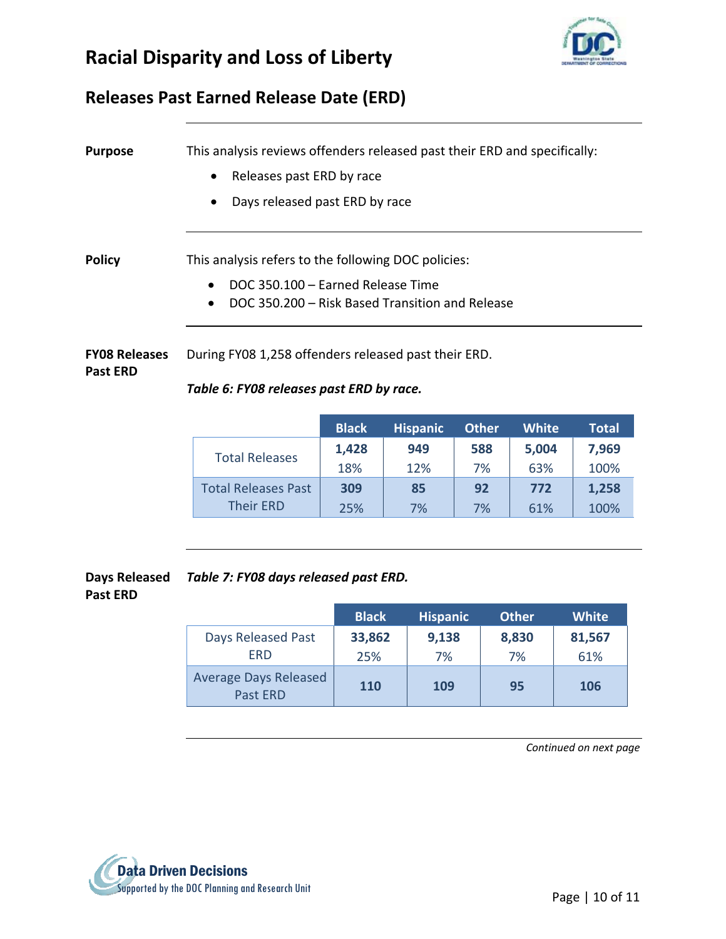



#### **Releases Past Earned Release Date (ERD)**

| <b>Purpose</b>                          | This analysis reviews offenders released past their ERD and specifically:<br>Releases past ERD by race<br>$\bullet$<br>Days released past ERD by race    |              |                 |              |              |              |  |  |
|-----------------------------------------|----------------------------------------------------------------------------------------------------------------------------------------------------------|--------------|-----------------|--------------|--------------|--------------|--|--|
| <b>Policy</b>                           | This analysis refers to the following DOC policies:<br>DOC 350.100 - Earned Release Time<br>DOC 350.200 – Risk Based Transition and Release<br>$\bullet$ |              |                 |              |              |              |  |  |
| <b>FY08 Releases</b><br><b>Past ERD</b> | During FY08 1,258 offenders released past their ERD.<br>Table 6: FY08 releases past ERD by race.                                                         |              |                 |              |              |              |  |  |
|                                         |                                                                                                                                                          | <b>Black</b> | <b>Hispanic</b> | <b>Other</b> | <b>White</b> | <b>Total</b> |  |  |
|                                         | Total Releases                                                                                                                                           | 1,428        | 949             | 588          | 5,004        | 7,969        |  |  |

| <b>Total Releases</b>      | 1,428 | 949 | 588 | 5,004 | 7,969 |
|----------------------------|-------|-----|-----|-------|-------|
|                            | 18%   | 12% | 7%  | 63%   | 100%  |
| <b>Total Releases Past</b> | 309   | 85  | 92  | 772   | 1,258 |
| <b>Their ERD</b>           | 25%   | 7%  | 7%  | 61%   | 100%  |
|                            |       |     |     |       |       |

**Days Released** *Table 7: FY08 days released past ERD.*  **Past ERD**

|                                          | <b>Black</b> | <b>Hispanic</b> | <b>Other</b> | <b>White</b> |
|------------------------------------------|--------------|-----------------|--------------|--------------|
| Days Released Past                       | 33,862       | 9,138           | 8,830        | 81,567       |
| <b>FRD</b>                               | 25%          | 7%              | 7%           | 61%          |
| <b>Average Days Released</b><br>Past ERD | 110          | 109             | 95           | <b>106</b>   |